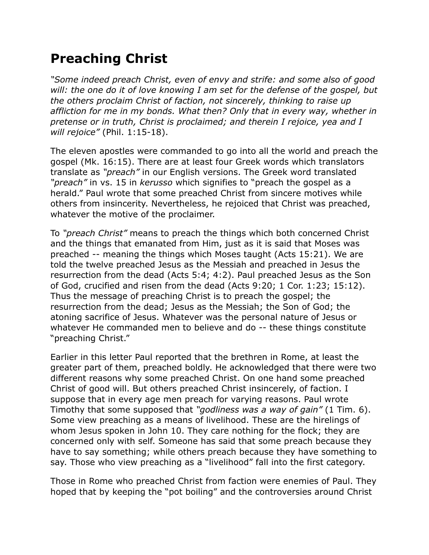## **Preaching Christ**

*"Some indeed preach Christ, even of envy and strife: and some also of good will: the one do it of love knowing I am set for the defense of the gospel, but the others proclaim Christ of faction, not sincerely, thinking to raise up affliction for me in my bonds. What then? Only that in every way, whether in pretense or in truth, Christ is proclaimed; and therein I rejoice, yea and I will rejoice"* (Phil. 1:15-18).

The eleven apostles were commanded to go into all the world and preach the gospel (Mk. 16:15). There are at least four Greek words which translators translate as *"preach"* in our English versions. The Greek word translated *"preach"* in vs. 15 in *kerusso* which signifies to "preach the gospel as a herald." Paul wrote that some preached Christ from sincere motives while others from insincerity. Nevertheless, he rejoiced that Christ was preached, whatever the motive of the proclaimer.

To *"preach Christ"* means to preach the things which both concerned Christ and the things that emanated from Him, just as it is said that Moses was preached -- meaning the things which Moses taught (Acts 15:21). We are told the twelve preached Jesus as the Messiah and preached in Jesus the resurrection from the dead (Acts 5:4; 4:2). Paul preached Jesus as the Son of God, crucified and risen from the dead (Acts 9:20; 1 Cor. 1:23; 15:12). Thus the message of preaching Christ is to preach the gospel; the resurrection from the dead; Jesus as the Messiah; the Son of God; the atoning sacrifice of Jesus. Whatever was the personal nature of Jesus or whatever He commanded men to believe and do -- these things constitute "preaching Christ."

Earlier in this letter Paul reported that the brethren in Rome, at least the greater part of them, preached boldly. He acknowledged that there were two different reasons why some preached Christ. On one hand some preached Christ of good will. But others preached Christ insincerely, of faction. I suppose that in every age men preach for varying reasons. Paul wrote Timothy that some supposed that *"godliness was a way of gain"* (1 Tim. 6). Some view preaching as a means of livelihood. These are the hirelings of whom Jesus spoken in John 10. They care nothing for the flock; they are concerned only with self. Someone has said that some preach because they have to say something; while others preach because they have something to say. Those who view preaching as a "livelihood" fall into the first category.

Those in Rome who preached Christ from faction were enemies of Paul. They hoped that by keeping the "pot boiling" and the controversies around Christ